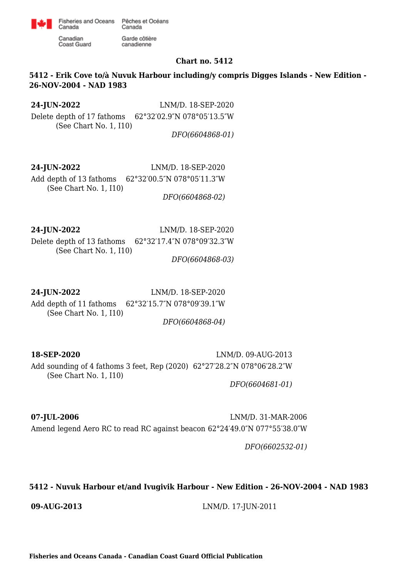

canadienne

Canadian **Coast Guard** 

Canada

### **Chart no. 5412**

# **5412 - Erik Cove to/à Nuvuk Harbour including/y compris Digges Islands - New Edition - 26-NOV-2004 - NAD 1983**

**24-JUN-2022** LNM/D. 18-SEP-2020

Delete depth of 17 fathoms (See Chart No. 1, I10) 62°32′02.9″N 078°05′13.5″W

*DFO(6604868-01)*

**24-JUN-2022** LNM/D. 18-SEP-2020 Add depth of 13 fathoms (See Chart No. 1, I10) 62°32′00.5″N 078°05′11.3″W *DFO(6604868-02)*

**24-JUN-2022** LNM/D. 18-SEP-2020 Delete depth of 13 fathoms 62°32′17.4″N 078°09′32.3″W (See Chart No. 1, I10)

*DFO(6604868-03)*

**24-JUN-2022** LNM/D. 18-SEP-2020

Add depth of 11 fathoms 62°32′15.7″N 078°09′39.1″W (See Chart No. 1, I10)

*DFO(6604868-04)*

**18-SEP-2020** LNM/D. 09-AUG-2013 Add sounding of 4 fathoms 3 feet, Rep (2020) 62°27′28.2″N 078°06′28.2″W (See Chart No. 1, I10)

*DFO(6604681-01)*

**07-JUL-2006** LNM/D. 31-MAR-2006 Amend legend Aero RC to read RC against beacon 62°24′49.0″N 077°55′38.0″W

*DFO(6602532-01)*

## **5412 - Nuvuk Harbour et/and Ivugivik Harbour - New Edition - 26-NOV-2004 - NAD 1983**

**09-AUG-2013** LNM/D. 17-JUN-2011